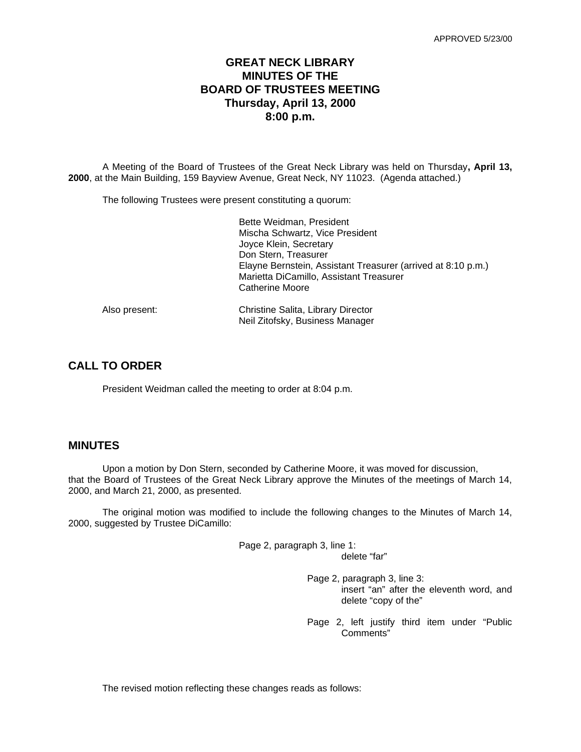# **GREAT NECK LIBRARY MINUTES OF THE BOARD OF TRUSTEES MEETING Thursday, April 13, 2000 8:00 p.m.**

A Meeting of the Board of Trustees of the Great Neck Library was held on Thursday**, April 13, 2000**, at the Main Building, 159 Bayview Avenue, Great Neck, NY 11023. (Agenda attached.)

The following Trustees were present constituting a quorum:

|               | Bette Weidman, President                                     |
|---------------|--------------------------------------------------------------|
|               | Mischa Schwartz, Vice President                              |
|               | Joyce Klein, Secretary                                       |
|               | Don Stern, Treasurer                                         |
|               | Elayne Bernstein, Assistant Treasurer (arrived at 8:10 p.m.) |
|               | Marietta DiCamillo, Assistant Treasurer                      |
|               | Catherine Moore                                              |
| Also present: | Christine Salita, Library Director                           |
|               | Neil Zitofsky, Business Manager                              |
|               |                                                              |

# **CALL TO ORDER**

President Weidman called the meeting to order at 8:04 p.m.

# **MINUTES**

Upon a motion by Don Stern, seconded by Catherine Moore, it was moved for discussion, that the Board of Trustees of the Great Neck Library approve the Minutes of the meetings of March 14, 2000, and March 21, 2000, as presented.

The original motion was modified to include the following changes to the Minutes of March 14, 2000, suggested by Trustee DiCamillo:

> Page 2, paragraph 3, line 1: delete "far"

> > Page 2, paragraph 3, line 3: insert "an" after the eleventh word, and delete "copy of the"

> > Page 2, left justify third item under "Public Comments"

The revised motion reflecting these changes reads as follows: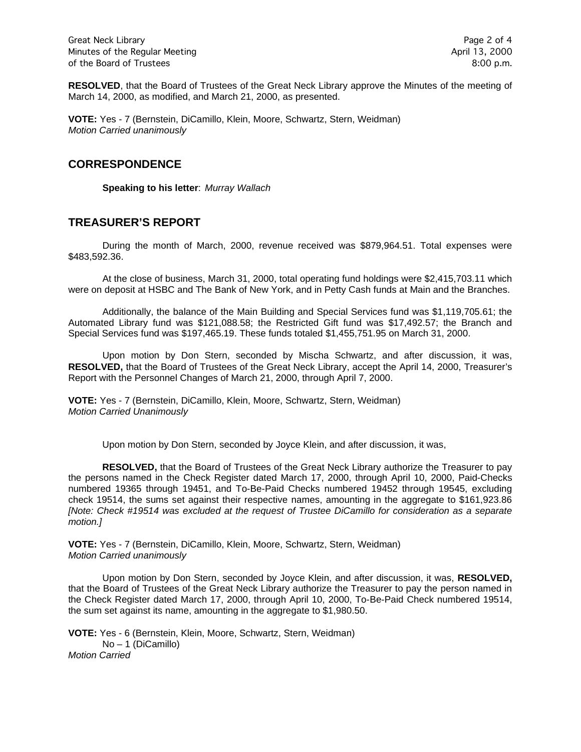Great Neck Library **Page 2 of 4** Minutes of the Regular Meeting April 13, 2000 of the Board of Trustees 8:00 p.m.

**RESOLVED**, that the Board of Trustees of the Great Neck Library approve the Minutes of the meeting of March 14, 2000, as modified, and March 21, 2000, as presented.

**VOTE:** Yes - 7 (Bernstein, DiCamillo, Klein, Moore, Schwartz, Stern, Weidman) *Motion Carried unanimously*

### **CORRESPONDENCE**

**Speaking to his letter**: *Murray Wallach*

### **TREASURER'S REPORT**

During the month of March, 2000, revenue received was \$879,964.51. Total expenses were \$483,592.36.

At the close of business, March 31, 2000, total operating fund holdings were \$2,415,703.11 which were on deposit at HSBC and The Bank of New York, and in Petty Cash funds at Main and the Branches.

Additionally, the balance of the Main Building and Special Services fund was \$1,119,705.61; the Automated Library fund was \$121,088.58; the Restricted Gift fund was \$17,492.57; the Branch and Special Services fund was \$197,465.19. These funds totaled \$1,455,751.95 on March 31, 2000.

Upon motion by Don Stern, seconded by Mischa Schwartz, and after discussion, it was, **RESOLVED,** that the Board of Trustees of the Great Neck Library, accept the April 14, 2000, Treasurer's Report with the Personnel Changes of March 21, 2000, through April 7, 2000.

**VOTE:** Yes - 7 (Bernstein, DiCamillo, Klein, Moore, Schwartz, Stern, Weidman) *Motion Carried Unanimously*

Upon motion by Don Stern, seconded by Joyce Klein, and after discussion, it was,

**RESOLVED,** that the Board of Trustees of the Great Neck Library authorize the Treasurer to pay the persons named in the Check Register dated March 17, 2000, through April 10, 2000, Paid-Checks numbered 19365 through 19451, and To-Be-Paid Checks numbered 19452 through 19545, excluding check 19514, the sums set against their respective names, amounting in the aggregate to \$161,923.86 *[Note: Check #19514 was excluded at the request of Trustee DiCamillo for consideration as a separate motion.]*

**VOTE:** Yes - 7 (Bernstein, DiCamillo, Klein, Moore, Schwartz, Stern, Weidman) *Motion Carried unanimously*

Upon motion by Don Stern, seconded by Joyce Klein, and after discussion, it was, **RESOLVED,**  that the Board of Trustees of the Great Neck Library authorize the Treasurer to pay the person named in the Check Register dated March 17, 2000, through April 10, 2000, To-Be-Paid Check numbered 19514, the sum set against its name, amounting in the aggregate to \$1,980.50.

**VOTE:** Yes - 6 (Bernstein, Klein, Moore, Schwartz, Stern, Weidman) No – 1 (DiCamillo) *Motion Carried*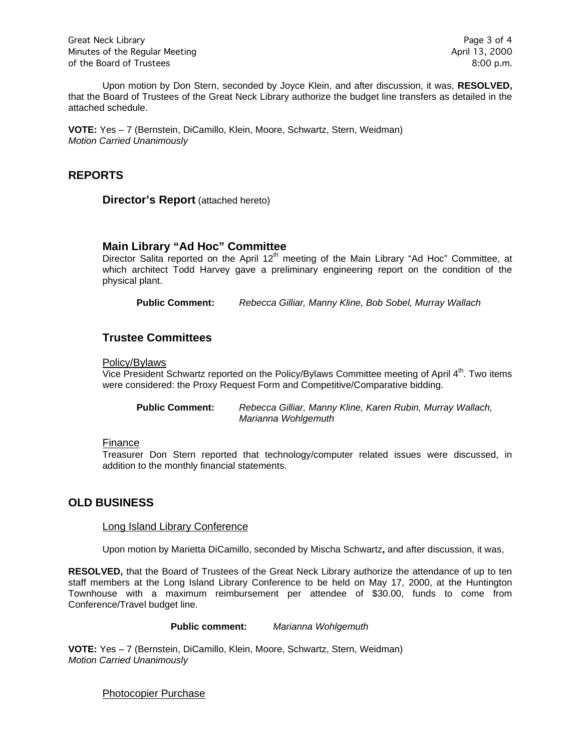Upon motion by Don Stern, seconded by Joyce Klein, and after discussion, it was, **RESOLVED,**  that the Board of Trustees of the Great Neck Library authorize the budget line transfers as detailed in the attached schedule.

**VOTE:** Yes – 7 (Bernstein, DiCamillo, Klein, Moore, Schwartz, Stern, Weidman) *Motion Carried Unanimously*

## **REPORTS**

**Director's Report** (attached hereto)

### **Main Library "Ad Hoc" Committee**

Director Salita reported on the April  $12<sup>th</sup>$  meeting of the Main Library "Ad Hoc" Committee, at which architect Todd Harvey gave a preliminary engineering report on the condition of the physical plant.

**Public Comment:** *Rebecca Gilliar, Manny Kline, Bob Sobel, Murray Wallach*

### **Trustee Committees**

#### Policy/Bylaws

Vice President Schwartz reported on the Policy/Bylaws Committee meeting of April 4<sup>th</sup>. Two items were considered: the Proxy Request Form and Competitive/Comparative bidding.

**Public Comment:** *Rebecca Gilliar, Manny Kline, Karen Rubin, Murray Wallach, Marianna Wohlgemuth*

#### Finance

Treasurer Don Stern reported that technology/computer related issues were discussed, in addition to the monthly financial statements.

### **OLD BUSINESS**

#### Long Island Library Conference

Upon motion by Marietta DiCamillo, seconded by Mischa Schwartz**,** and after discussion, it was,

**RESOLVED,** that the Board of Trustees of the Great Neck Library authorize the attendance of up to ten staff members at the Long Island Library Conference to be held on May 17, 2000, at the Huntington Townhouse with a maximum reimbursement per attendee of \$30.00, funds to come from Conference/Travel budget line.

**Public comment:** *Marianna Wohlgemuth*

**VOTE:** Yes – 7 (Bernstein, DiCamillo, Klein, Moore, Schwartz, Stern, Weidman) *Motion Carried Unanimously*

Photocopier Purchase